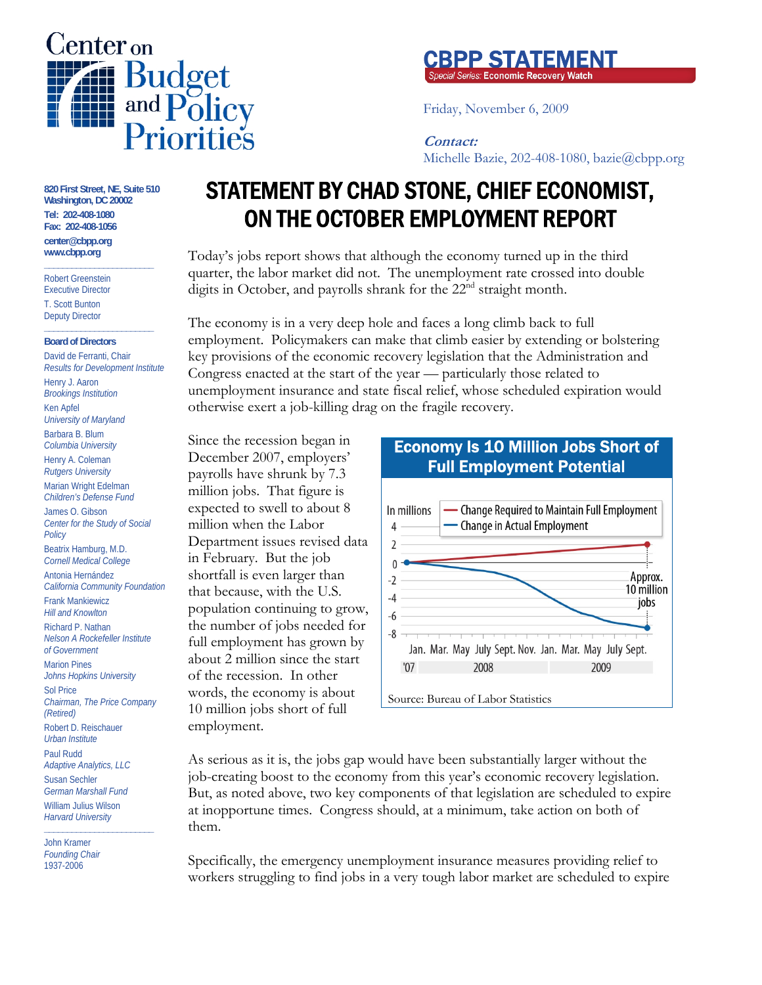



Ì Friday, November 6, 2009

**Contact:**

 $\ddot{\phantom{0}}$ Michelle Bazie, 202-408-1080, bazie@cbpp.org

**820 First Street, NE, Suite 510 Washington, DC 20002 Tel: 202-408-1080 Fax: 202-408-1056 center@cbpp.org www.cbpp.org \_\_\_\_\_\_\_\_\_\_\_\_\_\_\_\_\_\_\_\_\_\_\_\_** 

Robert Greenstein Executive Director T. Scott Bunton Deputy Director **\_\_\_\_\_\_\_\_\_\_\_\_\_\_\_\_\_\_\_\_\_\_\_\_**

## **Board of Directors**

David de Ferranti, Chair *Results for Development Institute* Henry J. Aaron *Brookings Institution* Ken Apfel *University of Maryland* Barbara B. Blum *Columbia University* Henry A. Coleman *Rutgers University*

Marian Wright Edelman *Children's Defense Fund*

James O. Gibson *Center for the Study of Social Policy*

Beatrix Hamburg, M.D. *Cornell Medical College*

Antonia Hernández *California Community Foundation* Frank Mankiewicz *Hill and Knowlton*

Richard P. Nathan *Nelson A Rockefeller Institute of Government*

Marion Pines *Johns Hopkins University*

Sol Price *Chairman, The Price Company (Retired)*

Robert D. Reischauer *Urban Institute*

Paul Rudd *Adaptive Analytics, LLC*

Susan Sechler *German Marshall Fund* William Julius Wilson *Harvard University*

**\_\_\_\_\_\_\_\_\_\_\_\_\_\_\_\_\_\_\_\_\_\_\_\_**

John Kramer *Founding Chair* 1937-2006

## STATEMENT BY CHAD STONE, CHIEF ECONOMIST, ON THE OCTOBER EMPLOYMENT REPORT

Today's jobs report shows that although the economy turned up in the third quarter, the labor market did not. The unemployment rate crossed into double digits in October, and payrolls shrank for the 22<sup>nd</sup> straight month.

The economy is in a very deep hole and faces a long climb back to full employment. Policymakers can make that climb easier by extending or bolstering key provisions of the economic recovery legislation that the Administration and Congress enacted at the start of the year — particularly those related to unemployment insurance and state fiscal relief, whose scheduled expiration would otherwise exert a job-killing drag on the fragile recovery.

Since the recession began in December 2007, employers' payrolls have shrunk by 7.3 million jobs. That figure is expected to swell to about 8 million when the Labor Department issues revised data in February. But the job shortfall is even larger than that because, with the U.S. population continuing to grow, the number of jobs needed for full employment has grown by about 2 million since the start of the recession. In other words, the economy is about 10 million jobs short of full employment.



As serious as it is, the jobs gap would have been substantially larger without the job-creating boost to the economy from this year's economic recovery legislation. But, as noted above, two key components of that legislation are scheduled to expire at inopportune times. Congress should, at a minimum, take action on both of them.

Specifically, the emergency unemployment insurance measures providing relief to workers struggling to find jobs in a very tough labor market are scheduled to expire